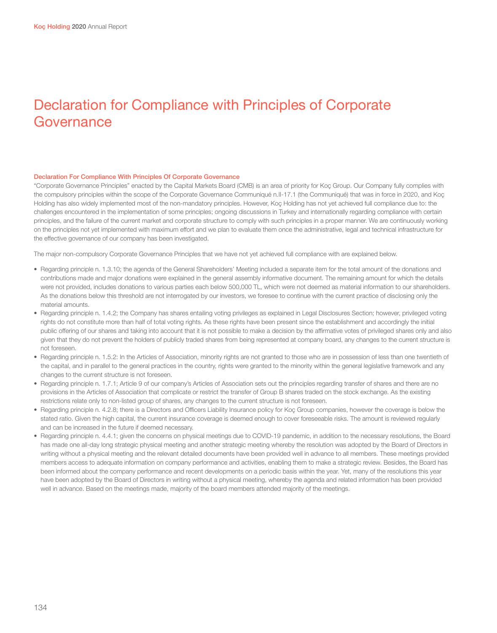# Declaration for Compliance with Principles of Corporate Governance

#### Declaration For Compliance With Principles Of Corporate Governance

"Corporate Governance Principles" enacted by the Capital Markets Board (CMB) is an area of priority for Koç Group. Our Company fully complies with the compulsory principles within the scope of the Corporate Governance Communiqué n.II-17.1 (the Communiqué) that was in force in 2020, and Koç Holding has also widely implemented most of the non-mandatory principles. However, Koç Holding has not yet achieved full compliance due to: the challenges encountered in the implementation of some principles; ongoing discussions in Turkey and internationally regarding compliance with certain principles, and the failure of the current market and corporate structure to comply with such principles in a proper manner. We are continuously working on the principles not yet implemented with maximum effort and we plan to evaluate them once the administrative, legal and technical infrastructure for the effective governance of our company has been investigated.

The major non-compulsory Corporate Governance Principles that we have not yet achieved full compliance with are explained below.

- • Regarding principle n. 1.3.10; the agenda of the General Shareholders' Meeting included a separate item for the total amount of the donations and contributions made and major donations were explained in the general assembly informative document. The remaining amount for which the details were not provided, includes donations to various parties each below 500,000 TL, which were not deemed as material information to our shareholders. As the donations below this threshold are not interrogated by our investors, we foresee to continue with the current practice of disclosing only the material amounts.
- • Regarding principle n. 1.4.2; the Company has shares entailing voting privileges as explained in Legal Disclosures Section; however, privileged voting rights do not constitute more than half of total voting rights. As these rights have been present since the establishment and accordingly the initial public offering of our shares and taking into account that it is not possible to make a decision by the affirmative votes of privileged shares only and also given that they do not prevent the holders of publicly traded shares from being represented at company board, any changes to the current structure is not foreseen.
- Regarding principle n. 1.5.2: In the Articles of Association, minority rights are not granted to those who are in possession of less than one twentieth of the capital, and in parallel to the general practices in the country, rights were granted to the minority within the general legislative framework and any changes to the current structure is not foreseen.
- Regarding principle n. 1.7.1; Article 9 of our company's Articles of Association sets out the principles regarding transfer of shares and there are no provisions in the Articles of Association that complicate or restrict the transfer of Group B shares traded on the stock exchange. As the existing restrictions relate only to non-listed group of shares, any changes to the current structure is not foreseen.
- Regarding principle n. 4.2.8; there is a Directors and Officers Liability Insurance policy for Koc Group companies, however the coverage is below the stated ratio. Given the high capital, the current insurance coverage is deemed enough to cover foreseeable risks. The amount is reviewed regularly and can be increased in the future if deemed necessary.
- Regarding principle n. 4.4.1; given the concerns on physical meetings due to COVID-19 pandemic, in addition to the necessary resolutions, the Board has made one all-day long strategic physical meeting and another strategic meeting whereby the resolution was adopted by the Board of Directors in writing without a physical meeting and the relevant detailed documents have been provided well in advance to all members. These meetings provided members access to adequate information on company performance and activities, enabling them to make a strategic review. Besides, the Board has been informed about the company performance and recent developments on a periodic basis within the year. Yet, many of the resolutions this year have been adopted by the Board of Directors in writing without a physical meeting, whereby the agenda and related information has been provided well in advance. Based on the meetings made, majority of the board members attended majority of the meetings.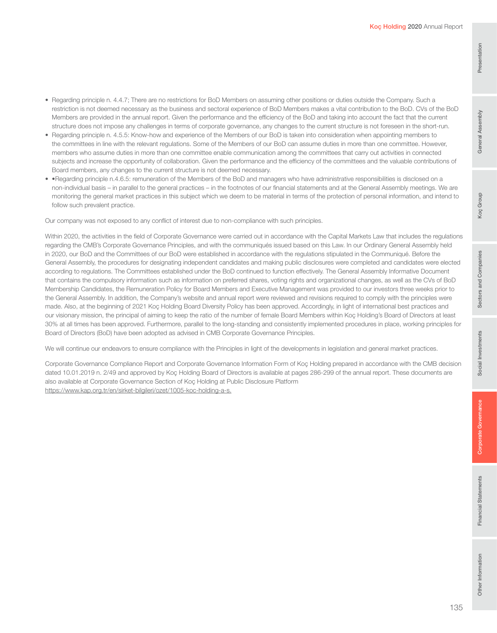• Regarding principle n. 4.4.7; There are no restrictions for BoD Members on assuming other positions or duties outside the Company. Such a restriction is not deemed necessary as the business and sectoral experience of BoD Members makes a vital contribution to the BoD. CVs of the BoD Members are provided in the annual report. Given the performance and the efficiency of the BoD and taking into account the fact that the current structure does not impose any challenges in terms of corporate governance, any changes to the current structure is not foreseen in the short-run.

- Regarding principle n. 4.5.5: Know-how and experience of the Members of our BoD is taken into consideration when appointing members to the committees in line with the relevant regulations. Some of the Members of our BoD can assume duties in more than one committee. However, members who assume duties in more than one committee enable communication among the committees that carry out activities in connected subjects and increase the opportunity of collaboration. Given the performance and the efficiency of the committees and the valuable contributions of Board members, any changes to the current structure is not deemed necessary.
- • Regarding principle n.4.6.5: remuneration of the Members of the BoD and managers who have administrative responsibilities is disclosed on a non-individual basis – in parallel to the general practices – in the footnotes of our financial statements and at the General Assembly meetings. We are monitoring the general market practices in this subject which we deem to be material in terms of the protection of personal information, and intend to follow such prevalent practice.

Our company was not exposed to any conflict of interest due to non-compliance with such principles.

Within 2020, the activities in the field of Corporate Governance were carried out in accordance with the Capital Markets Law that includes the regulations regarding the CMB's Corporate Governance Principles, and with the communiqués issued based on this Law. In our Ordinary General Assembly held in 2020, our BoD and the Committees of our BoD were established in accordance with the regulations stipulated in the Communiqué. Before the General Assembly, the procedures for designating independent candidates and making public disclosures were completed and candidates were elected according to regulations. The Committees established under the BoD continued to function effectively. The General Assembly Informative Document that contains the compulsory information such as information on preferred shares, voting rights and organizational changes, as well as the CVs of BoD Membership Candidates, the Remuneration Policy for Board Members and Executive Management was provided to our investors three weeks prior to the General Assembly. In addition, the Company's website and annual report were reviewed and revisions required to comply with the principles were made. Also, at the beginning of 2021 Koç Holding Board Diversity Policy has been approved. Accordingly, in light of international best practices and our visionary mission, the principal of aiming to keep the ratio of the number of female Board Members within Koç Holding's Board of Directors at least 30% at all times has been approved. Furthermore, parallel to the long-standing and consistently implemented procedures in place, working principles for Board of Directors (BoD) have been adopted as advised in CMB Corporate Governance Principles.

We will continue our endeavors to ensure compliance with the Principles in light of the developments in legislation and general market practices.

Corporate Governance Compliance Report and Corporate Governance Information Form of Koç Holding prepared in accordance with the CMB decision dated 10.01.2019 n. 2/49 and approved by Koç Holding Board of Directors is available at pages 286-299 of the annual report. These documents are also available at Corporate Governance Section of Koç Holding at Public Disclosure Platform https://www.kap.org.tr/en/sirket-bilgileri/ozet/1005-koc-holding-a-s.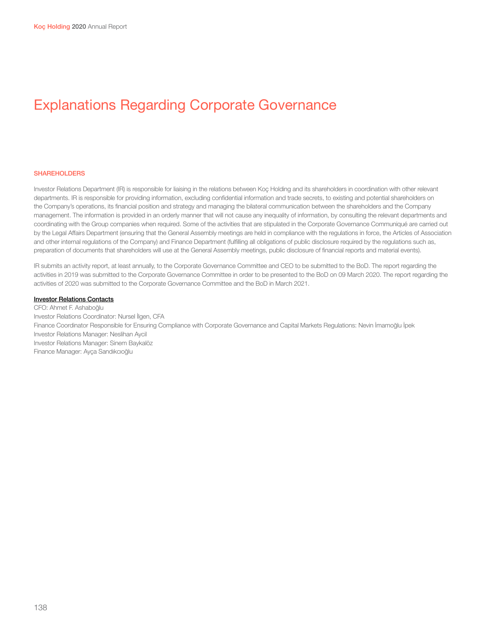# Explanations Regarding Corporate Governance

### **SHAREHOLDERS**

Investor Relations Department (IR) is responsible for liaising in the relations between Koç Holding and its shareholders in coordination with other relevant departments. IR is responsible for providing information, excluding confidential information and trade secrets, to existing and potential shareholders on the Company's operations, its financial position and strategy and managing the bilateral communication between the shareholders and the Company management. The information is provided in an orderly manner that will not cause any inequality of information, by consulting the relevant departments and coordinating with the Group companies when required. Some of the activities that are stipulated in the Corporate Governance Communiqué are carried out by the Legal Affairs Department (ensuring that the General Assembly meetings are held in compliance with the regulations in force, the Articles of Association and other internal regulations of the Company) and Finance Department (fulfilling all obligations of public disclosure required by the regulations such as, preparation of documents that shareholders will use at the General Assembly meetings, public disclosure of financial reports and material events).

IR submits an activity report, at least annually, to the Corporate Governance Committee and CEO to be submitted to the BoD. The report regarding the activities in 2019 was submitted to the Corporate Governance Committee in order to be presented to the BoD on 09 March 2020. The report regarding the activities of 2020 was submitted to the Corporate Governance Committee and the BoD in March 2021.

## **Investor Relations Contacts**

CFO: Ahmet F. Ashaboğlu Investor Relations Coordinator: Nursel İlgen, CFA Finance Coordinator Responsible for Ensuring Compliance with Corporate Governance and Capital Markets Regulations: Nevin İmamoğlu İpek Investor Relations Manager: Neslihan Aycil Investor Relations Manager: Sinem Baykalöz Finance Manager: Ayça Sandıkcıoğlu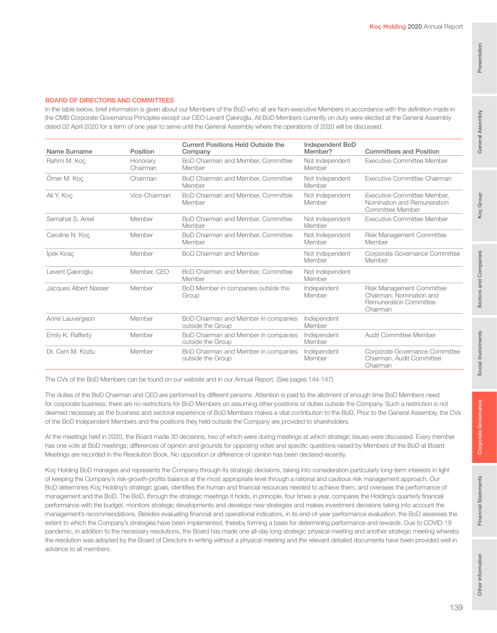# General Assembly

## BOARD OF DIRECTORS AND COMMITTEES

In the table below, brief information is given about our Members of the BoD who all are Non-executive Members in accordance with the definition made in the CMB Corporate Governance Principles except our CEO Levent Çakıroğlu. All BoD Members currently on duty were elected at the General Assembly dated 02 April 2020 for a term of one year to serve until the General Assembly where the operations of 2020 will be discussed.

| Name Surname          | Position             | <b>Current Positions Held Outside the</b><br>Company      | Independent BoD<br>Member? | <b>Committees and Position</b>                                                                     |
|-----------------------|----------------------|-----------------------------------------------------------|----------------------------|----------------------------------------------------------------------------------------------------|
| Rahmi M. Koc          | Honorary<br>Chairman | BoD Chairman and Member, Committee<br>Member              | Not Independent<br>Member  | Executive Committee Member                                                                         |
| Ömer M. Koç           | Chairman             | BoD Chairman and Member, Committee<br>Member              | Not Independent<br>Member  | Executive Committee Chairman                                                                       |
| Ali Y. Koç            | Vice-Chairman        | BoD Chairman and Member, Committee<br>Member              | Not Independent<br>Member  | Executive Committee Member,<br>Nomination and Remuneration<br>Committee Member                     |
| Semahat S. Arsel      | Member               | BoD Chairman and Member, Committee<br>Member              | Not Independent<br>Member  | Executive Committee Member                                                                         |
| Caroline N. Koc       | Member               | BoD Chairman and Member, Committee<br>Member              | Not Independent<br>Member  | Risk Management Committee<br>Member                                                                |
| lpek Kırac            | Member               | <b>BoD Chairman and Member</b>                            | Not Independent<br>Member  | Corporate Governance Committee<br>Member                                                           |
| Levent Çakıroğlu      | Member, CEO          | BoD Chairman and Member, Committee<br>Member              | Not Independent<br>Member  |                                                                                                    |
| Jacques Albert Nasser | Member               | BoD Member in companies outside the<br>Group              | Independent<br>Member      | Risk Management Committee<br>Chairman; Nomination and<br><b>Remuneration Committee</b><br>Chairman |
| Anne Lauvergeon       | Member               | BoD Chairman and Member in companies<br>outside the Group | Independent<br>Member      |                                                                                                    |
| Emily K. Rafferty     | Member               | BoD Chairman and Member in companies<br>outside the Group | Independent<br>Member      | Audit Committee Member                                                                             |
| Dr. Cem M. Kozlu      | Member               | BoD Chairman and Member in companies<br>outside the Group | Independent<br>Member      | Corporate Governance Committee<br>Chairman, Audit Committee<br>Chairman                            |

The CVs of the BoD Members can be found on our website and in our Annual Report. (See pages 144-147)

The duties of the BoD Chairman and CEO are performed by different persons. Attention is paid to the allotment of enough time BoD Members need for corporate business; there are no restrictions for BoD Members on assuming other positions or duties outside the Company. Such a restriction is not deemed necessary as the business and sectoral experience of BoD Members makes a vital contribution to the BoD. Prior to the General Assembly, the CVs of the BoD Independent Members and the positions they held outside the Company are provided to shareholders.

At the meetings held in 2020, the Board made 30 decisions, two of which were during meetings at which strategic issues were discussed. Every member has one vote at BoD meetings; differences of opinion and grounds for opposing votes and specific questions raised by Members of the BoD at Board Meetings are recorded in the Resolution Book. No opposition or difference of opinion has been declared recently.

Koç Holding BoD manages and represents the Company through its strategic decisions, taking into consideration particularly long-term interests in light of keeping the Company's risk-growth-profits balance at the most appropriate level through a rational and cautious risk management approach. Our BoD determines Koç Holding's strategic goals, identifies the human and financial resources needed to achieve them, and oversees the performance of management and the BoD. The BoD, through the strategic meetings it holds, in principle, four times a year, compares the Holding's quarterly financial performance with the budget, monitors strategic developments and develops new strategies and makes investment decisions taking into account the management's recommendations. Besides evaluating financial and operational indicators, in its end-of-year performance evaluation, the BoD assesses the extent to which the Company's strategies have been implemented, thereby forming a basis for determining performance and rewards. Due to COVID-19 pandemic, in addition to the necessary resolutions, the Board has made one all-day long strategic physical meeting and another strategic meeting whereby the resolution was adopted by the Board of Directors in writing without a physical meeting and the relevant detailed documents have been provided well in advance to all members.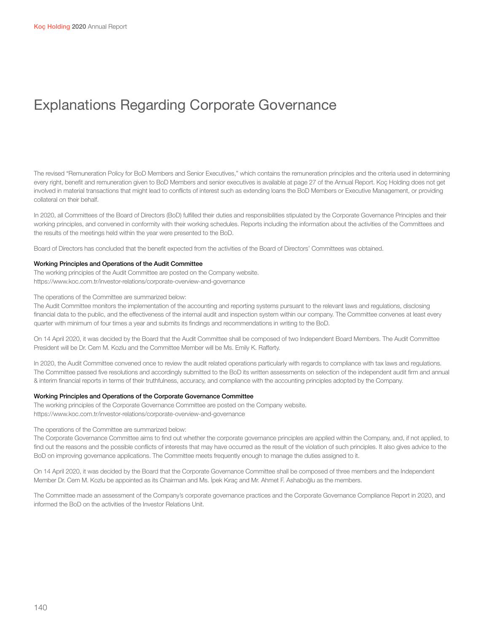# Explanations Regarding Corporate Governance

The revised "Remuneration Policy for BoD Members and Senior Executives," which contains the remuneration principles and the criteria used in determining every right, benefit and remuneration given to BoD Members and senior executives is available at page 27 of the Annual Report. Koç Holding does not get involved in material transactions that might lead to conflicts of interest such as extending loans the BoD Members or Executive Management, or providing collateral on their behalf.

In 2020, all Committees of the Board of Directors (BoD) fulfilled their duties and responsibilities stipulated by the Corporate Governance Principles and their working principles, and convened in conformity with their working schedules. Reports including the information about the activities of the Committees and the results of the meetings held within the year were presented to the BoD.

Board of Directors has concluded that the benefit expected from the activities of the Board of Directors' Committees was obtained.

## Working Principles and Operations of the Audit Committee

The working principles of the Audit Committee are posted on the Company website. https://www.koc.com.tr/investor-relations/corporate-overview-and-governance

The operations of the Committee are summarized below:

The Audit Committee monitors the implementation of the accounting and reporting systems pursuant to the relevant laws and regulations, disclosing financial data to the public, and the effectiveness of the internal audit and inspection system within our company. The Committee convenes at least every quarter with minimum of four times a year and submits its findings and recommendations in writing to the BoD.

On 14 April 2020, it was decided by the Board that the Audit Committee shall be composed of two Independent Board Members. The Audit Committee President will be Dr. Cem M. Kozlu and the Committee Member will be Ms. Emily K. Rafferty.

In 2020, the Audit Committee convened once to review the audit related operations particularly with regards to compliance with tax laws and regulations. The Committee passed five resolutions and accordingly submitted to the BoD its written assessments on selection of the independent audit firm and annual & interim financial reports in terms of their truthfulness, accuracy, and compliance with the accounting principles adopted by the Company.

### Working Principles and Operations of the Corporate Governance Committee

The working principles of the Corporate Governance Committee are posted on the Company website. https://www.koc.com.tr/investor-relations/corporate-overview-and-governance

#### The operations of the Committee are summarized below:

The Corporate Governance Committee aims to find out whether the corporate governance principles are applied within the Company, and, if not applied, to find out the reasons and the possible conflicts of interests that may have occurred as the result of the violation of such principles. It also gives advice to the BoD on improving governance applications. The Committee meets frequently enough to manage the duties assigned to it.

On 14 April 2020, it was decided by the Board that the Corporate Governance Committee shall be composed of three members and the Independent Member Dr. Cem M. Kozlu be appointed as its Chairman and Ms. İpek Kıraç and Mr. Ahmet F. Ashaboğlu as the members.

The Committee made an assessment of the Company's corporate governance practices and the Corporate Governance Compliance Report in 2020, and informed the BoD on the activities of the Investor Relations Unit.